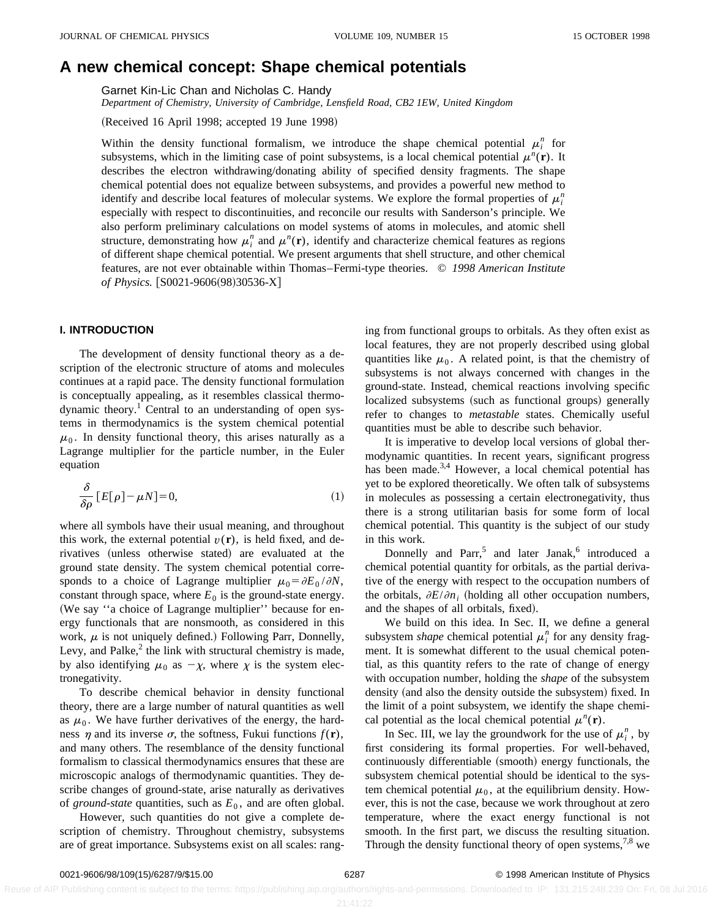# **A new chemical concept: Shape chemical potentials**

Garnet Kin-Lic Chan and Nicholas C. Handy

*Department of Chemistry, University of Cambridge, Lensfield Road, CB2 1EW, United Kingdom*

(Received 16 April 1998; accepted 19 June 1998)

Within the density functional formalism, we introduce the shape chemical potential  $\mu_i^n$  for subsystems, which in the limiting case of point subsystems, is a local chemical potential  $\mu^n(\mathbf{r})$ . It describes the electron withdrawing/donating ability of specified density fragments. The shape chemical potential does not equalize between subsystems, and provides a powerful new method to identify and describe local features of molecular systems. We explore the formal properties of  $\mu_i^n$ especially with respect to discontinuities, and reconcile our results with Sanderson's principle. We also perform preliminary calculations on model systems of atoms in molecules, and atomic shell structure, demonstrating how  $\mu_i^n$  and  $\mu^n(\mathbf{r})$ , identify and characterize chemical features as regions of different shape chemical potential. We present arguments that shell structure, and other chemical features, are not ever obtainable within Thomas–Fermi-type theories. © *1998 American Institute of Physics.* [S0021-9606(98)30536-X]

### **I. INTRODUCTION**

The development of density functional theory as a description of the electronic structure of atoms and molecules continues at a rapid pace. The density functional formulation is conceptually appealing, as it resembles classical thermodynamic theory.<sup>1</sup> Central to an understanding of open systems in thermodynamics is the system chemical potential  $\mu_0$ . In density functional theory, this arises naturally as a Lagrange multiplier for the particle number, in the Euler equation

$$
\frac{\delta}{\delta \rho} \left[ E[\rho] - \mu N \right] = 0,\tag{1}
$$

where all symbols have their usual meaning, and throughout this work, the external potential  $v(\mathbf{r})$ , is held fixed, and derivatives (unless otherwise stated) are evaluated at the ground state density. The system chemical potential corresponds to a choice of Lagrange multiplier  $\mu_0 = \partial E_0 / \partial N$ , constant through space, where  $E_0$  is the ground-state energy. (We say "a choice of Lagrange multiplier" because for energy functionals that are nonsmooth, as considered in this work,  $\mu$  is not uniquely defined.) Following Parr, Donnelly, Levy, and Palke, $<sup>2</sup>$  the link with structural chemistry is made,</sup> by also identifying  $\mu_0$  as  $-\chi$ , where  $\chi$  is the system electronegativity.

To describe chemical behavior in density functional theory, there are a large number of natural quantities as well as  $\mu_0$ . We have further derivatives of the energy, the hardness  $\eta$  and its inverse  $\sigma$ , the softness, Fukui functions  $f(\mathbf{r})$ , and many others. The resemblance of the density functional formalism to classical thermodynamics ensures that these are microscopic analogs of thermodynamic quantities. They describe changes of ground-state, arise naturally as derivatives of *ground-state* quantities, such as  $E_0$ , and are often global.

However, such quantities do not give a complete description of chemistry. Throughout chemistry, subsystems are of great importance. Subsystems exist on all scales: ranging from functional groups to orbitals. As they often exist as local features, they are not properly described using global quantities like  $\mu_0$ . A related point, is that the chemistry of subsystems is not always concerned with changes in the ground-state. Instead, chemical reactions involving specific localized subsystems (such as functional groups) generally refer to changes to *metastable* states. Chemically useful quantities must be able to describe such behavior.

It is imperative to develop local versions of global thermodynamic quantities. In recent years, significant progress has been made. $3,4$  However, a local chemical potential has yet to be explored theoretically. We often talk of subsystems in molecules as possessing a certain electronegativity, thus there is a strong utilitarian basis for some form of local chemical potential. This quantity is the subject of our study in this work.

Donnelly and Parr,<sup>5</sup> and later Janak,<sup>6</sup> introduced a chemical potential quantity for orbitals, as the partial derivative of the energy with respect to the occupation numbers of the orbitals,  $\partial E/\partial n_i$  (holding all other occupation numbers, and the shapes of all orbitals, fixed).

We build on this idea. In Sec. II, we define a general subsystem *shape* chemical potential  $\mu_i^n$  for any density fragment. It is somewhat different to the usual chemical potential, as this quantity refers to the rate of change of energy with occupation number, holding the *shape* of the subsystem density (and also the density outside the subsystem) fixed. In the limit of a point subsystem, we identify the shape chemical potential as the local chemical potential  $\mu^n(\mathbf{r})$ .

In Sec. III, we lay the groundwork for the use of  $\mu_i^n$ , by first considering its formal properties. For well-behaved, continuously differentiable (smooth) energy functionals, the subsystem chemical potential should be identical to the system chemical potential  $\mu_0$ , at the equilibrium density. However, this is not the case, because we work throughout at zero temperature, where the exact energy functional is not smooth. In the first part, we discuss the resulting situation. Through the density functional theory of open systems,  $7,8$  we

21:41:22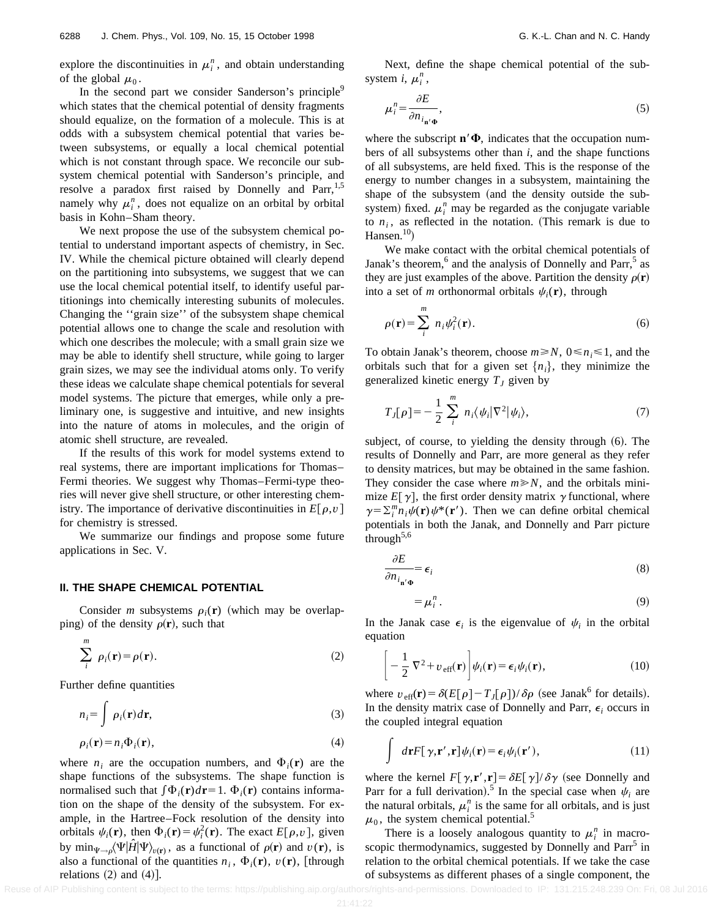explore the discontinuities in  $\mu_i^n$ , and obtain understanding of the global  $\mu_0$ .

In the second part we consider Sanderson's principle<sup>9</sup> which states that the chemical potential of density fragments should equalize, on the formation of a molecule. This is at odds with a subsystem chemical potential that varies between subsystems, or equally a local chemical potential which is not constant through space. We reconcile our subsystem chemical potential with Sanderson's principle, and resolve a paradox first raised by Donnelly and Parr,<sup>1,5</sup> namely why  $\mu_i^n$ , does not equalize on an orbital by orbital basis in Kohn–Sham theory.

We next propose the use of the subsystem chemical potential to understand important aspects of chemistry, in Sec. IV. While the chemical picture obtained will clearly depend on the partitioning into subsystems, we suggest that we can use the local chemical potential itself, to identify useful partitionings into chemically interesting subunits of molecules. Changing the ''grain size'' of the subsystem shape chemical potential allows one to change the scale and resolution with which one describes the molecule; with a small grain size we may be able to identify shell structure, while going to larger grain sizes, we may see the individual atoms only. To verify these ideas we calculate shape chemical potentials for several model systems. The picture that emerges, while only a preliminary one, is suggestive and intuitive, and new insights into the nature of atoms in molecules, and the origin of atomic shell structure, are revealed.

If the results of this work for model systems extend to real systems, there are important implications for Thomas– Fermi theories. We suggest why Thomas–Fermi-type theories will never give shell structure, or other interesting chemistry. The importance of derivative discontinuities in  $E[\rho, v]$ for chemistry is stressed.

We summarize our findings and propose some future applications in Sec. V.

## **II. THE SHAPE CHEMICAL POTENTIAL**

Consider *m* subsystems  $\rho_i(\mathbf{r})$  (which may be overlapping) of the density  $\rho$ (**r**), such that

$$
\sum_{i}^{m} \rho_i(\mathbf{r}) = \rho(\mathbf{r}).
$$
\n(2)

Further define quantities

$$
n_i = \int \rho_i(\mathbf{r}) d\mathbf{r},\tag{3}
$$

$$
\rho_i(\mathbf{r}) = n_i \Phi_i(\mathbf{r}),\tag{4}
$$

where  $n_i$  are the occupation numbers, and  $\Phi_i(\mathbf{r})$  are the shape functions of the subsystems. The shape function is normalised such that  $\int \Phi_i(\mathbf{r}) d\mathbf{r} = 1$ .  $\Phi_i(\mathbf{r})$  contains information on the shape of the density of the subsystem. For example, in the Hartree–Fock resolution of the density into orbitals  $\psi_i(\mathbf{r})$ , then  $\Phi_i(\mathbf{r}) = \psi_i^2(\mathbf{r})$ . The exact  $E[\rho, v]$ , given by min<sub> $\Psi \rightarrow \rho \langle \Psi | \hat{H} | \Psi \rangle_{v(\mathbf{r})}$ , as a functional of  $\rho(\mathbf{r})$  and  $v(\mathbf{r})$ , is</sub> also a functional of the quantities  $n_i$ ,  $\Phi_i(\mathbf{r})$ ,  $v(\mathbf{r})$ , [through relations  $(2)$  and  $(4)$ ].

Next, define the shape chemical potential of the subsystem *i*,  $\mu_i^n$ ,

$$
\mu_i^n = \frac{\partial E}{\partial n_{i_{\mathbf{n}'\Phi}}},\tag{5}
$$

where the subscript  $\mathbf{n}'\mathbf{\Phi}$ , indicates that the occupation numbers of all subsystems other than *i*, and the shape functions of all subsystems, are held fixed. This is the response of the energy to number changes in a subsystem, maintaining the shape of the subsystem (and the density outside the subsystem) fixed.  $\mu_i^n$  may be regarded as the conjugate variable to  $n_i$ , as reflected in the notation. (This remark is due to Hansen. $10$ 

We make contact with the orbital chemical potentials of Janak's theorem, $6$  and the analysis of Donnelly and Parr, $5$  as they are just examples of the above. Partition the density  $\rho(\mathbf{r})$ into a set of *m* orthonormal orbitals  $\psi_i(\mathbf{r})$ , through

$$
\rho(\mathbf{r}) = \sum_{i}^{m} n_i \psi_i^2(\mathbf{r}).
$$
\n(6)

To obtain Janak's theorem, choose  $m \ge N$ ,  $0 \le n_i \le 1$ , and the orbitals such that for a given set  $\{n_i\}$ , they minimize the generalized kinetic energy  $T<sub>J</sub>$  given by

$$
T_J[\rho] = -\frac{1}{2} \sum_{i}^{m} n_i \langle \psi_i | \nabla^2 | \psi_i \rangle, \tag{7}
$$

subject, of course, to yielding the density through  $(6)$ . The results of Donnelly and Parr, are more general as they refer to density matrices, but may be obtained in the same fashion. They consider the case where  $m \ge N$ , and the orbitals minimize  $E[\gamma]$ , the first order density matrix  $\gamma$  functional, where  $\gamma = \sum_{i=1}^{m} n_i \psi(\mathbf{r}) \psi^*(\mathbf{r}')$ . Then we can define orbital chemical potentials in both the Janak, and Donnelly and Parr picture through<sup>5,6</sup>

$$
\frac{\partial E}{\partial n_{i_{\mathbf{n}'\Phi}}} = \epsilon_i
$$
 (8)

$$
=\mu_i^n.
$$
 (9)

In the Janak case  $\epsilon_i$  is the eigenvalue of  $\psi_i$  in the orbital equation

$$
\left[ -\frac{1}{2} \nabla^2 + v_{\text{eff}}(\mathbf{r}) \right] \psi_i(\mathbf{r}) = \epsilon_i \psi_i(\mathbf{r}), \qquad (10)
$$

where  $v_{\text{eff}}(\mathbf{r}) = \delta(E[\rho]-T_J[\rho])/\delta\rho$  (see Janak<sup>6</sup> for details). In the density matrix case of Donnelly and Parr,  $\epsilon_i$  occurs in the coupled integral equation

$$
\int d\mathbf{r} F[\gamma, \mathbf{r}', \mathbf{r}] \psi_i(\mathbf{r}) = \epsilon_i \psi_i(\mathbf{r}'), \qquad (11)
$$

where the kernel  $F[\gamma, \mathbf{r}', \mathbf{r}] = \partial E[\gamma] / \partial \gamma$  (see Donnelly and Parr for a full derivation).<sup>5</sup> In the special case when  $\psi_i$  are the natural orbitals,  $\mu_i^n$  is the same for all orbitals, and is just  $\mu_0$ , the system chemical potential.<sup>5</sup>

There is a loosely analogous quantity to  $\mu_i^n$  in macroscopic thermodynamics, suggested by Donnelly and Parr<sup>5</sup> in relation to the orbital chemical potentials. If we take the case of subsystems as different phases of a single component, the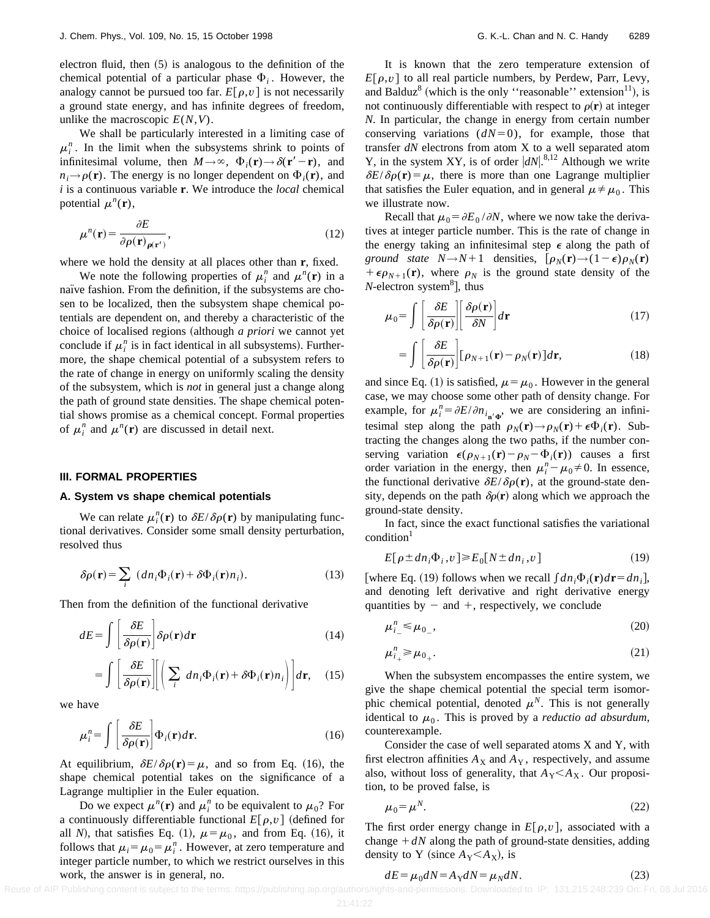electron fluid, then  $(5)$  is analogous to the definition of the chemical potential of a particular phase  $\Phi_i$ . However, the analogy cannot be pursued too far.  $E[\rho, v]$  is not necessarily a ground state energy, and has infinite degrees of freedom, unlike the macroscopic  $E(N, V)$ .

We shall be particularly interested in a limiting case of  $\mu_i^n$ . In the limit when the subsystems shrink to points of infinitesimal volume, then  $M \rightarrow \infty$ ,  $\Phi_i(\mathbf{r}) \rightarrow \delta(\mathbf{r}' - \mathbf{r})$ , and  $n_i \rightarrow \rho(\mathbf{r})$ . The energy is no longer dependent on  $\Phi_i(\mathbf{r})$ , and *i* is a continuous variable **r**. We introduce the *local* chemical potential  $\mu^n(\mathbf{r})$ ,

$$
\mu^{n}(\mathbf{r}) = \frac{\partial E}{\partial \rho(\mathbf{r})_{\rho(\mathbf{r}')}}\tag{12}
$$

where we hold the density at all places other than **r**, fixed.

We note the following properties of  $\mu_i^n$  and  $\mu^n(\mathbf{r})$  in a naïve fashion. From the definition, if the subsystems are chosen to be localized, then the subsystem shape chemical potentials are dependent on, and thereby a characteristic of the choice of localised regions (although *a priori* we cannot yet conclude if  $\mu_i^n$  is in fact identical in all subsystems). Furthermore, the shape chemical potential of a subsystem refers to the rate of change in energy on uniformly scaling the density of the subsystem, which is *not* in general just a change along the path of ground state densities. The shape chemical potential shows promise as a chemical concept. Formal properties of  $\mu_i^n$  and  $\mu^n(\mathbf{r})$  are discussed in detail next.

### **III. FORMAL PROPERTIES**

### **A. System vs shape chemical potentials**

We can relate  $\mu_i^n(\mathbf{r})$  to  $\delta E/\delta \rho(\mathbf{r})$  by manipulating functional derivatives. Consider some small density perturbation, resolved thus

$$
\delta \rho(\mathbf{r}) = \sum_{i} (dn_i \Phi_i(\mathbf{r}) + \delta \Phi_i(\mathbf{r}) n_i).
$$
 (13)

Then from the definition of the functional derivative

$$
dE = \int \left[ \frac{\delta E}{\delta \rho(\mathbf{r})} \right] \delta \rho(\mathbf{r}) d\mathbf{r}
$$
 (14)

$$
= \int \left[ \frac{\delta E}{\delta \rho(\mathbf{r})} \right] \left[ \left( \sum_i \, dn_i \Phi_i(\mathbf{r}) + \delta \Phi_i(\mathbf{r}) n_i \right) \right] d\mathbf{r}, \quad (15)
$$

we have

$$
\mu_i^n = \int \left[ \frac{\delta E}{\delta \rho(\mathbf{r})} \right] \Phi_i(\mathbf{r}) d\mathbf{r}.
$$
 (16)

At equilibrium,  $\delta E/\delta \rho(\mathbf{r}) = \mu$ , and so from Eq. (16), the shape chemical potential takes on the significance of a Lagrange multiplier in the Euler equation.

Do we expect  $\mu^n(\mathbf{r})$  and  $\mu_i^n$  to be equivalent to  $\mu_0$ ? For a continuously differentiable functional  $E[\rho, v]$  (defined for all *N*), that satisfies Eq. (1),  $\mu = \mu_0$ , and from Eq. (16), it follows that  $\mu_i = \mu_0 = \mu_i^n$ . However, at zero temperature and integer particle number, to which we restrict ourselves in this work, the answer is in general, no.

It is known that the zero temperature extension of  $E[\rho, v]$  to all real particle numbers, by Perdew, Parr, Levy, and Balduz<sup>8</sup> (which is the only "reasonable" extension<sup>11</sup>), is not continuously differentiable with respect to  $\rho$ (**r**) at integer *N*. In particular, the change in energy from certain number conserving variations  $(dN=0)$ , for example, those that transfer *dN* electrons from atom X to a well separated atom Y, in the system XY, is of order  $|dN|$ .<sup>8,12</sup> Although we write  $\delta E/\delta \rho(\mathbf{r}) = \mu$ , there is more than one Lagrange multiplier that satisfies the Euler equation, and in general  $\mu \neq \mu_0$ . This we illustrate now.

Recall that  $\mu_0 = \partial E_0 / \partial N$ , where we now take the derivatives at integer particle number. This is the rate of change in the energy taking an infinitesimal step  $\epsilon$  along the path of *ground state*  $N \rightarrow N+1$  densities,  $[\rho_N(\mathbf{r}) \rightarrow (1-\epsilon)\rho_N(\mathbf{r})]$  $+\epsilon \rho_{N+1}(\mathbf{r})$ , where  $\rho_N$  is the ground state density of the *N*-electron system<sup>8</sup>], thus

$$
\mu_0 = \int \left[ \frac{\delta E}{\delta \rho(\mathbf{r})} \right] \left[ \frac{\delta \rho(\mathbf{r})}{\delta N} \right] d\mathbf{r}
$$
 (17)

$$
= \int \left[ \frac{\delta E}{\delta \rho(\mathbf{r})} \right] [\rho_{N+1}(\mathbf{r}) - \rho_N(\mathbf{r})] d\mathbf{r}, \tag{18}
$$

and since Eq. (1) is satisfied,  $\mu = \mu_0$ . However in the general case, we may choose some other path of density change. For example, for  $\mu_i^n = \partial E / \partial n_{i_{\mathbf{n}'\Phi}}$ , we are considering an infinitesimal step along the path  $\rho_N(\mathbf{r}) \rightarrow \rho_N(\mathbf{r}) + \epsilon \Phi_i(\mathbf{r})$ . Subtracting the changes along the two paths, if the number conserving variation  $\epsilon(\rho_{N+1}(\mathbf{r})-\rho_N-\Phi_i(\mathbf{r}))$  causes a first order variation in the energy, then  $\mu_i^n - \mu_0 \neq 0$ . In essence, the functional derivative  $\delta E/\delta \rho(\mathbf{r})$ , at the ground-state density, depends on the path  $\delta\rho(\mathbf{r})$  along which we approach the ground-state density.

In fact, since the exact functional satisfies the variational condition<sup>1</sup>

$$
E[\rho \pm dn_i \Phi_i, v] \ge E_0[N \pm dn_i, v]
$$
\n(19)

[where Eq. (19) follows when we recall  $\int dn_i\Phi_i(\mathbf{r})d\mathbf{r}=dn_i$ ], and denoting left derivative and right derivative energy quantities by  $-$  and  $+$ , respectively, we conclude

$$
\mu_{i_{-}}^{n} \leq \mu_{0_{-}},\tag{20}
$$

$$
\mu_{i_{+}}^{n} \geqslant \mu_{0_{+}}.\tag{21}
$$

When the subsystem encompasses the entire system, we give the shape chemical potential the special term isomorphic chemical potential, denoted  $\mu^N$ . This is not generally identical to  $\mu_0$ . This is proved by a *reductio ad absurdum*, counterexample.

Consider the case of well separated atoms X and Y, with first electron affinities  $A_X$  and  $A_Y$ , respectively, and assume also, without loss of generality, that  $A_Y \leq A_X$ . Our proposition, to be proved false, is

$$
\mu_0 = \mu^N. \tag{22}
$$

The first order energy change in  $E[\rho, v]$ , associated with a change  $+ dN$  along the path of ground-state densities, adding density to Y (since  $A_Y \leq A_X$ ), is

$$
dE = \mu_0 dN = A_Y dN = \mu_N dN. \tag{23}
$$

Reuse of AIP Publishing content is subject to the terms: https://publishing.aip.org/authors/rights-and-permissions. Downloaded to IP: 131.215.248.239 On: Fri, 08 Jul 2016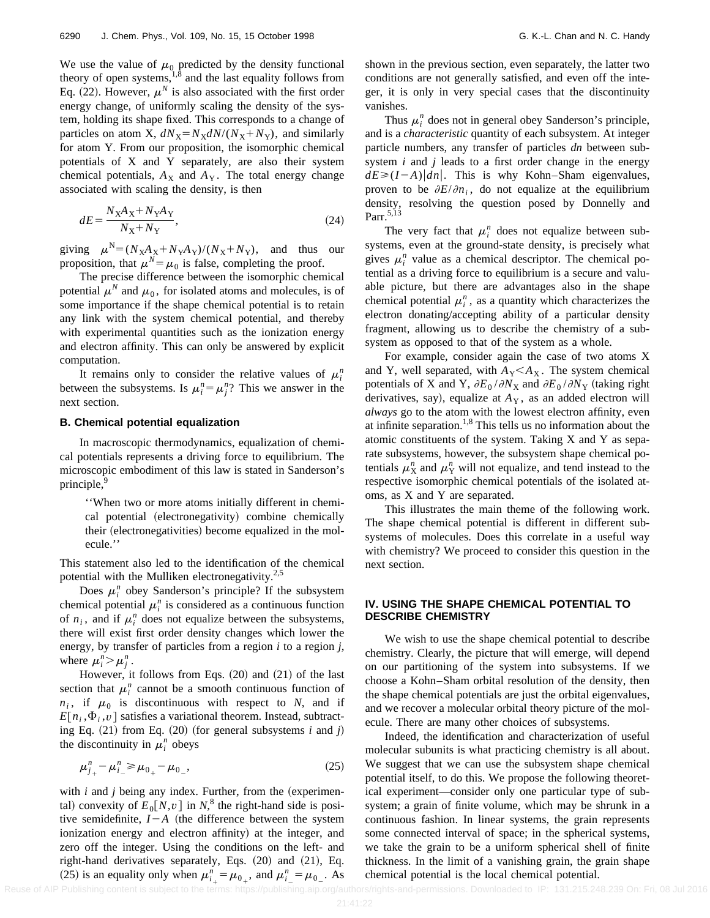We use the value of  $\mu_0$  predicted by the density functional theory of open systems,  $1,\bar{8}$  and the last equality follows from Eq. (22). However,  $\mu^N$  is also associated with the first order energy change, of uniformly scaling the density of the system, holding its shape fixed. This corresponds to a change of particles on atom X,  $dN_X = N_X dN/(N_X + N_Y)$ , and similarly for atom Y. From our proposition, the isomorphic chemical potentials of X and Y separately, are also their system chemical potentials,  $A_X$  and  $A_Y$ . The total energy change associated with scaling the density, is then

$$
dE = \frac{N_X A_X + N_Y A_Y}{N_X + N_Y},\tag{24}
$$

giving  $\mu^N = (N_X A_X + N_Y A_Y)/(N_X + N_Y)$ , and thus our proposition, that  $\mu^N = \mu_0$  is false, completing the proof.

The precise difference between the isomorphic chemical potential  $\mu^N$  and  $\mu_0$ , for isolated atoms and molecules, is of some importance if the shape chemical potential is to retain any link with the system chemical potential, and thereby with experimental quantities such as the ionization energy and electron affinity. This can only be answered by explicit computation.

It remains only to consider the relative values of  $\mu_i^n$ between the subsystems. Is  $\mu_i^n = \mu_j^n$ ? This we answer in the next section.

## **B. Chemical potential equalization**

In macroscopic thermodynamics, equalization of chemical potentials represents a driving force to equilibrium. The microscopic embodiment of this law is stated in Sanderson's principle,<sup>9</sup>

''When two or more atoms initially different in chemical potential (electronegativity) combine chemically their (electronegativities) become equalized in the molecule.''

This statement also led to the identification of the chemical potential with the Mulliken electronegativity. $2.5$ 

Does  $\mu_i^n$  obey Sanderson's principle? If the subsystem chemical potential  $\mu_i^n$  is considered as a continuous function of  $n_i$ , and if  $\mu_i^n$  does not equalize between the subsystems, there will exist first order density changes which lower the energy, by transfer of particles from a region *i* to a region *j*, where  $\mu_i^n > \mu_j^n$ .

However, it follows from Eqs.  $(20)$  and  $(21)$  of the last section that  $\mu_i^n$  cannot be a smooth continuous function of  $n_i$ , if  $\mu_0$  is discontinuous with respect to *N*, and if  $E[n_i, \Phi_i, v]$  satisfies a variational theorem. Instead, subtracting Eq.  $(21)$  from Eq.  $(20)$  (for general subsystems *i* and *j*) the discontinuity in  $\mu_i^n$  obeys

$$
\mu_{j_+}^n - \mu_{i_-}^n \ge \mu_{0_+} - \mu_{0_-},\tag{25}
$$

with  $i$  and  $j$  being any index. Further, from the  $(experimen$ tal) convexity of  $E_0[N, v]$  in  $N$ <sup>8</sup>, the right-hand side is positive semidefinite,  $I - A$  (the difference between the system ionization energy and electron affinity) at the integer, and zero off the integer. Using the conditions on the left- and right-hand derivatives separately, Eqs.  $(20)$  and  $(21)$ , Eq. (25) is an equality only when  $\mu_{i_+}^n = \mu_{0_+}$ , and  $\mu_{i_-}^n = \mu_{0_-}$ . As shown in the previous section, even separately, the latter two conditions are not generally satisfied, and even off the integer, it is only in very special cases that the discontinuity vanishes.

Thus  $\mu_i^n$  does not in general obey Sanderson's principle, and is a *characteristic* quantity of each subsystem. At integer particle numbers, any transfer of particles *dn* between subsystem *i* and *j* leads to a first order change in the energy  $dE \ge (I-A)|dn|$ . This is why Kohn–Sham eigenvalues, proven to be  $\partial E/\partial n_i$ , do not equalize at the equilibrium density, resolving the question posed by Donnelly and Parr. $5,13$ 

The very fact that  $\mu_i^n$  does not equalize between subsystems, even at the ground-state density, is precisely what gives  $\mu_i^n$  value as a chemical descriptor. The chemical potential as a driving force to equilibrium is a secure and valuable picture, but there are advantages also in the shape chemical potential  $\mu_i^n$ , as a quantity which characterizes the electron donating/accepting ability of a particular density fragment, allowing us to describe the chemistry of a subsystem as opposed to that of the system as a whole.

For example, consider again the case of two atoms X and Y, well separated, with  $A_Y \leq A_X$ . The system chemical potentials of X and Y,  $\partial E_0 / \partial N_\text{X}$  and  $\partial E_0 / \partial N_\text{Y}$  (taking right derivatives, say), equalize at  $A_Y$ , as an added electron will *always* go to the atom with the lowest electron affinity, even at infinite separation.<sup>1,8</sup> This tells us no information about the atomic constituents of the system. Taking X and Y as separate subsystems, however, the subsystem shape chemical potentials  $\mu_X^n$  and  $\mu_Y^n$  will not equalize, and tend instead to the respective isomorphic chemical potentials of the isolated atoms, as X and Y are separated.

This illustrates the main theme of the following work. The shape chemical potential is different in different subsystems of molecules. Does this correlate in a useful way with chemistry? We proceed to consider this question in the next section.

# **IV. USING THE SHAPE CHEMICAL POTENTIAL TO DESCRIBE CHEMISTRY**

We wish to use the shape chemical potential to describe chemistry. Clearly, the picture that will emerge, will depend on our partitioning of the system into subsystems. If we choose a Kohn–Sham orbital resolution of the density, then the shape chemical potentials are just the orbital eigenvalues, and we recover a molecular orbital theory picture of the molecule. There are many other choices of subsystems.

Indeed, the identification and characterization of useful molecular subunits is what practicing chemistry is all about. We suggest that we can use the subsystem shape chemical potential itself, to do this. We propose the following theoretical experiment—consider only one particular type of subsystem; a grain of finite volume, which may be shrunk in a continuous fashion. In linear systems, the grain represents some connected interval of space; in the spherical systems, we take the grain to be a uniform spherical shell of finite thickness. In the limit of a vanishing grain, the grain shape chemical potential is the local chemical potential.

Reuse of AIP Publishing content is subject to the terms: https://publishing.aip.org/authors/rights-and-permissions. Downloaded to IP: 131.215.248.239 On: Fri, 08 Jul 2016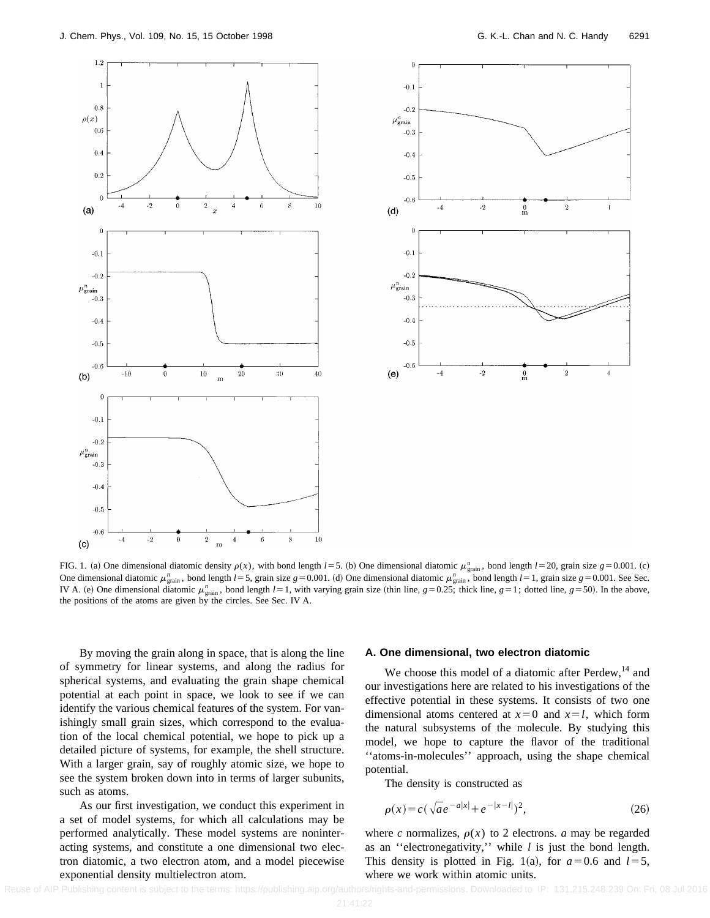



FIG. 1. (a) One dimensional diatomic density  $\rho(x)$ , with bond length *l* = 5. (b) One dimensional diatomic  $\mu_{\text{grain}}^n$ , bond length *l* = 20, grain size *g* = 0.001. (c) One dimensional diatomic  $\mu_{\text{grain}}^n$ , bond length *l* = 5, grain size *g* = 0.001. (d) One dimensional diatomic  $\mu_{\text{grain}}^n$ , bond length *l* = 1, grain size *g* = 0.001. See Sec. IV A. (e) One dimensional diatomic  $\mu_{\text{grain}}^n$ , bond length *l* = 1, with varying grain size (thin line, *g* = 0.25; thick line, *g* = 1; dotted line, *g* = 50). In the above, the positions of the atoms are given by the circles. See Sec. IV A.

By moving the grain along in space, that is along the line of symmetry for linear systems, and along the radius for spherical systems, and evaluating the grain shape chemical potential at each point in space, we look to see if we can identify the various chemical features of the system. For vanishingly small grain sizes, which correspond to the evaluation of the local chemical potential, we hope to pick up a detailed picture of systems, for example, the shell structure. With a larger grain, say of roughly atomic size, we hope to see the system broken down into in terms of larger subunits, such as atoms.

As our first investigation, we conduct this experiment in a set of model systems, for which all calculations may be performed analytically. These model systems are noninteracting systems, and constitute a one dimensional two electron diatomic, a two electron atom, and a model piecewise exponential density multielectron atom.

#### **A. One dimensional, two electron diatomic**

We choose this model of a diatomic after Perdew, $^{14}$  and our investigations here are related to his investigations of the effective potential in these systems. It consists of two one dimensional atoms centered at  $x=0$  and  $x=l$ , which form the natural subsystems of the molecule. By studying this model, we hope to capture the flavor of the traditional ''atoms-in-molecules'' approach, using the shape chemical potential.

The density is constructed as

$$
\rho(x) = c(\sqrt{a}e^{-a|x|} + e^{-|x-1|})^2, \tag{26}
$$

where *c* normalizes,  $\rho(x)$  to 2 electrons. *a* may be regarded as an ''electronegativity,'' while *l* is just the bond length. This density is plotted in Fig. 1(a), for  $a=0.6$  and  $l=5$ , where we work within atomic units.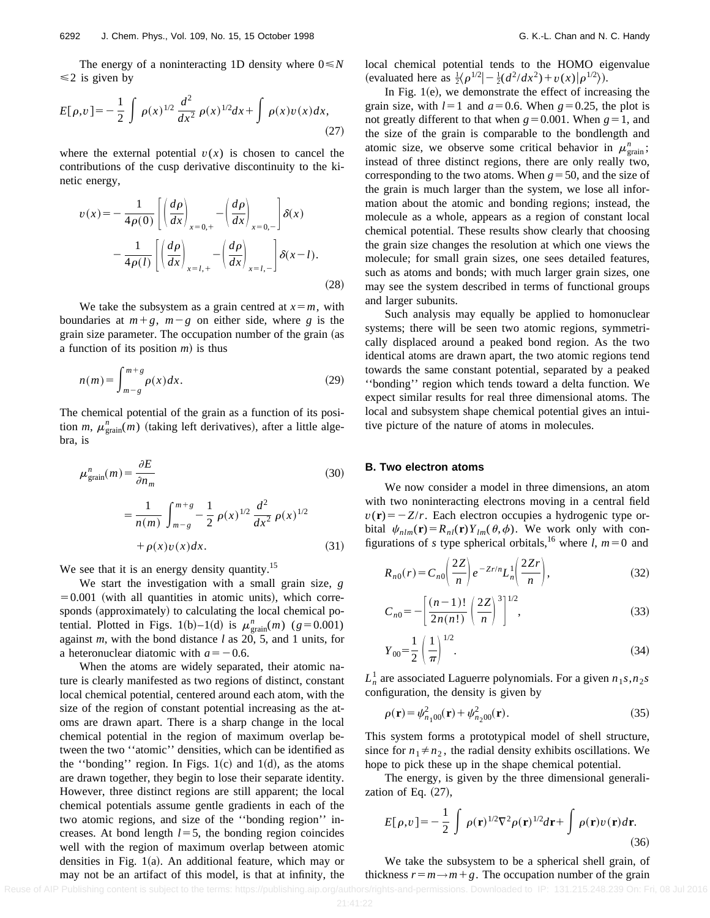The energy of a noninteracting 1D density where  $0 \le N$  $\leq$  2 is given by

$$
E[\rho, v] = -\frac{1}{2} \int \rho(x)^{1/2} \frac{d^2}{dx^2} \rho(x)^{1/2} dx + \int \rho(x) v(x) dx,
$$
\n(27)

where the external potential  $v(x)$  is chosen to cancel the contributions of the cusp derivative discontinuity to the kinetic energy,

$$
v(x) = -\frac{1}{4\rho(0)} \left[ \left( \frac{d\rho}{dx} \right)_{x=0,+} - \left( \frac{d\rho}{dx} \right)_{x=0,-} \right] \delta(x)
$$

$$
-\frac{1}{4\rho(l)} \left[ \left( \frac{d\rho}{dx} \right)_{x=l,+} - \left( \frac{d\rho}{dx} \right)_{x=l,-} \right] \delta(x-l).
$$
(28)

We take the subsystem as a grain centred at  $x = m$ , with boundaries at  $m+g$ ,  $m-g$  on either side, where *g* is the grain size parameter. The occupation number of the grain (as a function of its position *m*) is thus

$$
n(m) = \int_{m-g}^{m+g} \rho(x) dx.
$$
 (29)

The chemical potential of the grain as a function of its position *m*,  $\mu_{\text{grain}}^n(m)$  (taking left derivatives), after a little algebra, is

$$
\mu_{\text{grain}}^n(m) = \frac{\partial E}{\partial n_m}
$$
\n
$$
= \frac{1}{n(m)} \int_{m-g}^{m+g} -\frac{1}{2} \rho(x)^{1/2} \frac{d^2}{dx^2} \rho(x)^{1/2}
$$
\n
$$
+ \rho(x)v(x)dx.
$$
\n(31)

We see that it is an energy density quantity.<sup>15</sup>

We start the investigation with a small grain size, *g*  $=0.001$  (with all quantities in atomic units), which corresponds (approximately) to calculating the local chemical potential. Plotted in Figs. 1(b)–1(d) is  $\mu_{\text{grain}}^n(m)$  (*g*=0.001) against *m*, with the bond distance *l* as  $20$ , 5, and 1 units, for a heteronuclear diatomic with  $a = -0.6$ .

When the atoms are widely separated, their atomic nature is clearly manifested as two regions of distinct, constant local chemical potential, centered around each atom, with the size of the region of constant potential increasing as the atoms are drawn apart. There is a sharp change in the local chemical potential in the region of maximum overlap between the two ''atomic'' densities, which can be identified as the "bonding" region. In Figs.  $1(c)$  and  $1(d)$ , as the atoms are drawn together, they begin to lose their separate identity. However, three distinct regions are still apparent; the local chemical potentials assume gentle gradients in each of the two atomic regions, and size of the ''bonding region'' increases. At bond length  $l=5$ , the bonding region coincides well with the region of maximum overlap between atomic densities in Fig.  $1(a)$ . An additional feature, which may or may not be an artifact of this model, is that at infinity, the local chemical potential tends to the HOMO eigenvalue (evaluated here as  $\frac{1}{2}\langle \rho^{1/2} \vert -\frac{1}{2}(d^2/dx^2) + v(x) \vert \rho^{1/2} \rangle$ ).

In Fig. 1 $(e)$ , we demonstrate the effect of increasing the grain size, with  $l=1$  and  $a=0.6$ . When  $g=0.25$ , the plot is not greatly different to that when  $g=0.001$ . When  $g=1$ , and the size of the grain is comparable to the bondlength and atomic size, we observe some critical behavior in  $\mu_{\text{grain}}^n$ ; instead of three distinct regions, there are only really two, corresponding to the two atoms. When  $g = 50$ , and the size of the grain is much larger than the system, we lose all information about the atomic and bonding regions; instead, the molecule as a whole, appears as a region of constant local chemical potential. These results show clearly that choosing the grain size changes the resolution at which one views the molecule; for small grain sizes, one sees detailed features, such as atoms and bonds; with much larger grain sizes, one may see the system described in terms of functional groups and larger subunits.

Such analysis may equally be applied to homonuclear systems; there will be seen two atomic regions, symmetrically displaced around a peaked bond region. As the two identical atoms are drawn apart, the two atomic regions tend towards the same constant potential, separated by a peaked ''bonding'' region which tends toward a delta function. We expect similar results for real three dimensional atoms. The local and subsystem shape chemical potential gives an intuitive picture of the nature of atoms in molecules.

### **B. Two electron atoms**

We now consider a model in three dimensions, an atom with two noninteracting electrons moving in a central field  $v(\mathbf{r}) = -Z/r$ . Each electron occupies a hydrogenic type orbital  $\psi_{nlm}(\mathbf{r}) = R_{nl}(\mathbf{r}) Y_{lm}(\theta, \phi)$ . We work only with configurations of *s* type spherical orbitals,<sup>16</sup> where *l*,  $m=0$  and

$$
R_{n0}(r) = C_{n0} \left(\frac{2Z}{n}\right) e^{-Zr/n} L_n^1 \left(\frac{2Zr}{n}\right),\tag{32}
$$

$$
C_{n0} = -\left[\frac{(n-1)!}{2n(n!)}\left(\frac{2Z}{n}\right)^3\right]^{1/2},\tag{33}
$$

$$
Y_{00} = \frac{1}{2} \left( \frac{1}{\pi} \right)^{1/2}.
$$
 (34)

 $L_n^1$  are associated Laguerre polynomials. For a given  $n_1s, n_2s$ configuration, the density is given by

$$
\rho(\mathbf{r}) = \psi_{n_1 00}^2(\mathbf{r}) + \psi_{n_2 00}^2(\mathbf{r}).
$$
\n(35)

This system forms a prototypical model of shell structure, since for  $n_1 \neq n_2$ , the radial density exhibits oscillations. We hope to pick these up in the shape chemical potential.

The energy, is given by the three dimensional generalization of Eq.  $(27)$ ,

$$
E[\rho, v] = -\frac{1}{2} \int \rho(\mathbf{r})^{1/2} \nabla^2 \rho(\mathbf{r})^{1/2} d\mathbf{r} + \int \rho(\mathbf{r}) v(\mathbf{r}) d\mathbf{r}.
$$
\n(36)

We take the subsystem to be a spherical shell grain, of thickness  $r=m \rightarrow m+g$ . The occupation number of the grain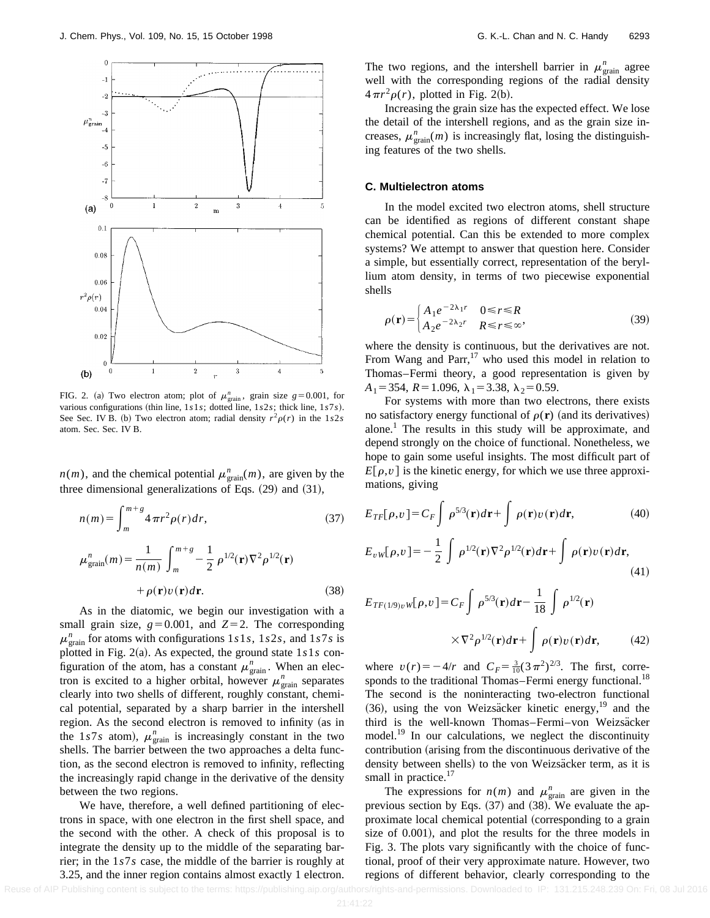

FIG. 2. (a) Two electron atom; plot of  $\mu_{\text{grain}}^n$ , grain size  $g=0.001$ , for various configurations (thin line,  $1s1s$ ; dotted line,  $1s2s$ ; thick line,  $1s7s$ ). See Sec. IV B. (b) Two electron atom; radial density  $r^2\rho(r)$  in the 1*s*2*s* atom. Sec. Sec. IV B.

 $n(m)$ , and the chemical potential  $\mu_{\text{grain}}^n(m)$ , are given by the three dimensional generalizations of Eqs.  $(29)$  and  $(31)$ ,

$$
n(m) = \int_{m}^{m+g} 4\pi r^2 \rho(r) dr,
$$
\n
$$
\mu_{\text{grain}}^n(m) = \frac{1}{n(m)} \int_{m}^{m+g} -\frac{1}{2} \rho^{1/2}(\mathbf{r}) \nabla^2 \rho^{1/2}(\mathbf{r})
$$
\n
$$
+ \rho(\mathbf{r}) \nu(\mathbf{r}) d\mathbf{r}.
$$
\n(38)

As in the diatomic, we begin our investigation with a small grain size,  $g=0.001$ , and  $Z=2$ . The corresponding  $\mu_{\text{grain}}^n$  for atoms with configurations 1*s*1*s*, 1*s*2*s*, and 1*s*7*s* is plotted in Fig. 2(a). As expected, the ground state 1*s*1*s* configuration of the atom, has a constant  $\mu_{\text{grain}}^n$ . When an electron is excited to a higher orbital, however  $\mu_{\text{grain}}^n$  separates clearly into two shells of different, roughly constant, chemical potential, separated by a sharp barrier in the intershell region. As the second electron is removed to infinity (as in the 1*s*7*s* atom),  $\mu_{\text{grain}}^n$  is increasingly constant in the two shells. The barrier between the two approaches a delta function, as the second electron is removed to infinity, reflecting the increasingly rapid change in the derivative of the density between the two regions.

We have, therefore, a well defined partitioning of electrons in space, with one electron in the first shell space, and the second with the other. A check of this proposal is to integrate the density up to the middle of the separating barrier; in the 1*s*7*s* case, the middle of the barrier is roughly at 3.25, and the inner region contains almost exactly 1 electron.

The two regions, and the intershell barrier in  $\mu_{\text{grain}}^n$  agree well with the corresponding regions of the radial density  $4\pi r^2 \rho(r)$ , plotted in Fig. 2(b).

Increasing the grain size has the expected effect. We lose the detail of the intershell regions, and as the grain size increases,  $\mu_{\text{grain}}^n(m)$  is increasingly flat, losing the distinguishing features of the two shells.

### **C. Multielectron atoms**

In the model excited two electron atoms, shell structure can be identified as regions of different constant shape chemical potential. Can this be extended to more complex systems? We attempt to answer that question here. Consider a simple, but essentially correct, representation of the beryllium atom density, in terms of two piecewise exponential shells

$$
\rho(\mathbf{r}) = \begin{cases} A_1 e^{-2\lambda_1 r} & 0 \le r \le R \\ A_2 e^{-2\lambda_2 r} & R \le r \le \infty \end{cases} \tag{39}
$$

where the density is continuous, but the derivatives are not. From Wang and Parr, $17$  who used this model in relation to Thomas–Fermi theory, a good representation is given by  $A_1$ =354,  $R$ =1.096,  $\lambda_1$ =3.38,  $\lambda_2$ =0.59.

For systems with more than two electrons, there exists no satisfactory energy functional of  $\rho(\mathbf{r})$  (and its derivatives) alone.<sup>1</sup> The results in this study will be approximate, and depend strongly on the choice of functional. Nonetheless, we hope to gain some useful insights. The most difficult part of  $E[\rho, v]$  is the kinetic energy, for which we use three approximations, giving

$$
E_{TF}[\rho, v] = C_F \int \rho^{5/3}(\mathbf{r}) d\mathbf{r} + \int \rho(\mathbf{r}) v(\mathbf{r}) d\mathbf{r},
$$
 (40)

$$
E_{vW}[\rho, v] = -\frac{1}{2} \int \rho^{1/2}(\mathbf{r}) \nabla^2 \rho^{1/2}(\mathbf{r}) d\mathbf{r} + \int \rho(\mathbf{r}) v(\mathbf{r}) d\mathbf{r},
$$
\n(41)

$$
E_{TF(1/9)vW}[\rho, v] = C_F \int \rho^{5/3}(\mathbf{r}) d\mathbf{r} - \frac{1}{18} \int \rho^{1/2}(\mathbf{r})
$$

$$
\times \nabla^2 \rho^{1/2}(\mathbf{r}) d\mathbf{r} + \int \rho(\mathbf{r}) v(\mathbf{r}) d\mathbf{r}, \qquad (42)
$$

where  $v(r) = -4/r$  and  $C_F = \frac{3}{10}(3\pi^2)^{2/3}$ . The first, corresponds to the traditional Thomas–Fermi energy functional.<sup>18</sup> The second is the noninteracting two-electron functional  $(36)$ , using the von Weizsäcker kinetic energy,<sup>19</sup> and the third is the well-known Thomas–Fermi–von Weizsäcker model.<sup>19</sup> In our calculations, we neglect the discontinuity contribution (arising from the discontinuous derivative of the density between shells) to the von Weizsäcker term, as it is small in practice.<sup>17</sup>

The expressions for  $n(m)$  and  $\mu_{\text{grain}}^n$  are given in the previous section by Eqs.  $(37)$  and  $(38)$ . We evaluate the approximate local chemical potential (corresponding to a grain size of  $0.001$ ), and plot the results for the three models in Fig. 3. The plots vary significantly with the choice of functional, proof of their very approximate nature. However, two regions of different behavior, clearly corresponding to the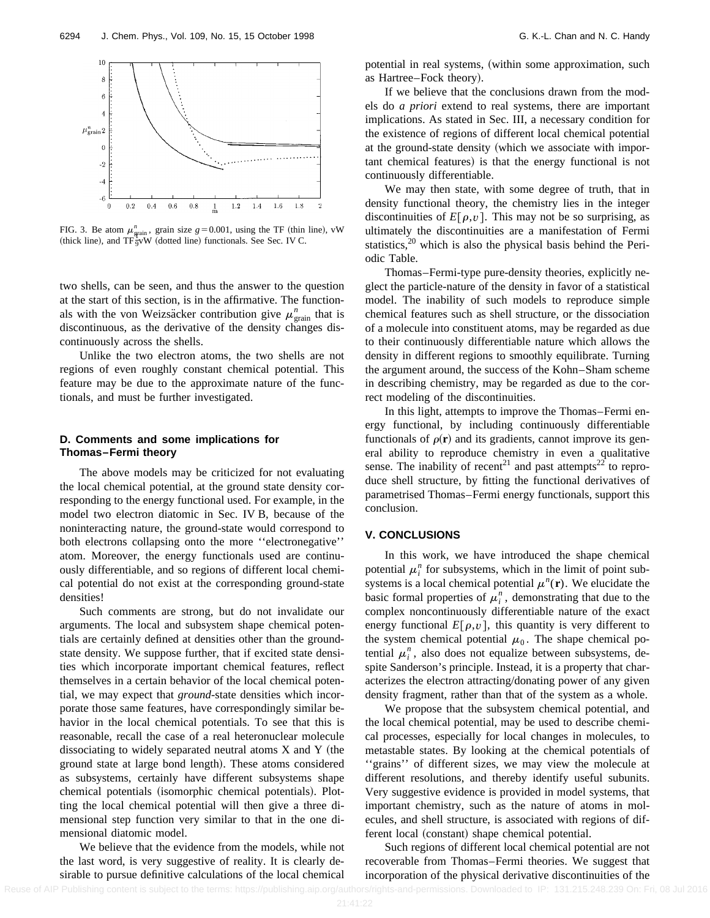

FIG. 3. Be atom  $\mu_{\text{grain}}^n$ , grain size  $g=0.001$ , using the TF (thin line), vW (thick line), and  $TF_{\text{g}}^{\text{quant}}$  of dotted line) functionals. See Sec. IV C.

two shells, can be seen, and thus the answer to the question at the start of this section, is in the affirmative. The functionals with the von Weizsäcker contribution give  $\mu_{\text{grain}}^n$  that is discontinuous, as the derivative of the density changes discontinuously across the shells.

Unlike the two electron atoms, the two shells are not regions of even roughly constant chemical potential. This feature may be due to the approximate nature of the functionals, and must be further investigated.

# **D. Comments and some implications for Thomas–Fermi theory**

The above models may be criticized for not evaluating the local chemical potential, at the ground state density corresponding to the energy functional used. For example, in the model two electron diatomic in Sec. IV B, because of the noninteracting nature, the ground-state would correspond to both electrons collapsing onto the more ''electronegative'' atom. Moreover, the energy functionals used are continuously differentiable, and so regions of different local chemical potential do not exist at the corresponding ground-state densities!

Such comments are strong, but do not invalidate our arguments. The local and subsystem shape chemical potentials are certainly defined at densities other than the groundstate density. We suppose further, that if excited state densities which incorporate important chemical features, reflect themselves in a certain behavior of the local chemical potential, we may expect that *ground*-state densities which incorporate those same features, have correspondingly similar behavior in the local chemical potentials. To see that this is reasonable, recall the case of a real heteronuclear molecule dissociating to widely separated neutral atoms  $X$  and  $Y$  (the ground state at large bond length). These atoms considered as subsystems, certainly have different subsystems shape chemical potentials (isomorphic chemical potentials). Plotting the local chemical potential will then give a three dimensional step function very similar to that in the one dimensional diatomic model.

We believe that the evidence from the models, while not the last word, is very suggestive of reality. It is clearly desirable to pursue definitive calculations of the local chemical potential in real systems, (within some approximation, such as Hartree–Fock theory).

If we believe that the conclusions drawn from the models do *a priori* extend to real systems, there are important implications. As stated in Sec. III, a necessary condition for the existence of regions of different local chemical potential at the ground-state density (which we associate with important chemical features) is that the energy functional is not continuously differentiable.

We may then state, with some degree of truth, that in density functional theory, the chemistry lies in the integer discontinuities of  $E[\rho, v]$ . This may not be so surprising, as ultimately the discontinuities are a manifestation of Fermi statistics, $20$  which is also the physical basis behind the Periodic Table.

Thomas–Fermi-type pure-density theories, explicitly neglect the particle-nature of the density in favor of a statistical model. The inability of such models to reproduce simple chemical features such as shell structure, or the dissociation of a molecule into constituent atoms, may be regarded as due to their continuously differentiable nature which allows the density in different regions to smoothly equilibrate. Turning the argument around, the success of the Kohn–Sham scheme in describing chemistry, may be regarded as due to the correct modeling of the discontinuities.

In this light, attempts to improve the Thomas–Fermi energy functional, by including continuously differentiable functionals of  $\rho$ (**r**) and its gradients, cannot improve its general ability to reproduce chemistry in even a qualitative sense. The inability of recent<sup>21</sup> and past attempts<sup>22</sup> to reproduce shell structure, by fitting the functional derivatives of parametrised Thomas–Fermi energy functionals, support this conclusion.

# **V. CONCLUSIONS**

In this work, we have introduced the shape chemical potential  $\mu_i^n$  for subsystems, which in the limit of point subsystems is a local chemical potential  $\mu^n(\mathbf{r})$ . We elucidate the basic formal properties of  $\mu_i^n$ , demonstrating that due to the complex noncontinuously differentiable nature of the exact energy functional  $E[\rho, v]$ , this quantity is very different to the system chemical potential  $\mu_0$ . The shape chemical potential  $\mu_i^n$ , also does not equalize between subsystems, despite Sanderson's principle. Instead, it is a property that characterizes the electron attracting/donating power of any given density fragment, rather than that of the system as a whole.

We propose that the subsystem chemical potential, and the local chemical potential, may be used to describe chemical processes, especially for local changes in molecules, to metastable states. By looking at the chemical potentials of ''grains'' of different sizes, we may view the molecule at different resolutions, and thereby identify useful subunits. Very suggestive evidence is provided in model systems, that important chemistry, such as the nature of atoms in molecules, and shell structure, is associated with regions of different local (constant) shape chemical potential.

Such regions of different local chemical potential are not recoverable from Thomas–Fermi theories. We suggest that incorporation of the physical derivative discontinuities of the